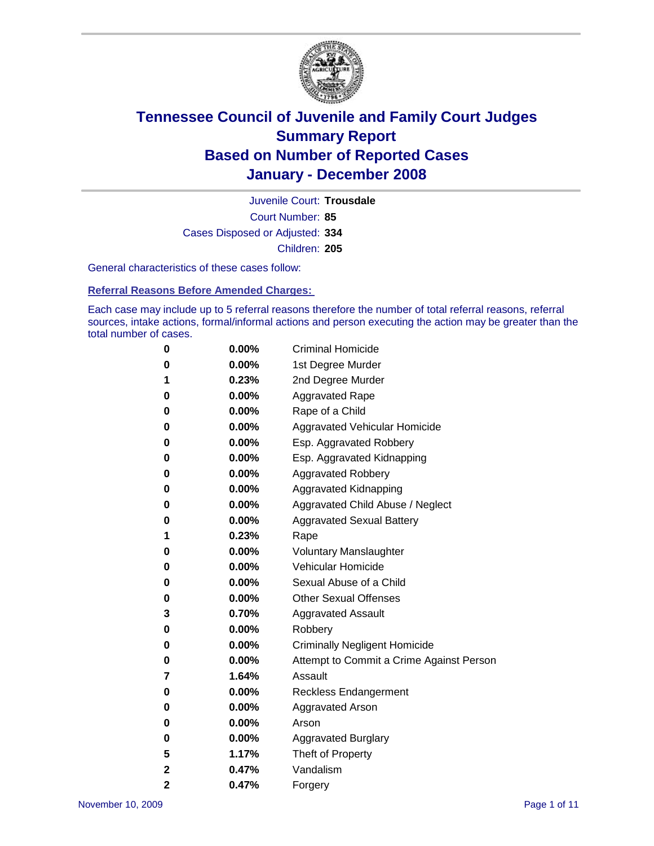

Court Number: **85** Juvenile Court: **Trousdale** Cases Disposed or Adjusted: **334** Children: **205**

General characteristics of these cases follow:

**Referral Reasons Before Amended Charges:** 

Each case may include up to 5 referral reasons therefore the number of total referral reasons, referral sources, intake actions, formal/informal actions and person executing the action may be greater than the total number of cases.

| 0 | $0.00\%$ | <b>Criminal Homicide</b>                 |
|---|----------|------------------------------------------|
| 0 | 0.00%    | 1st Degree Murder                        |
| 1 | 0.23%    | 2nd Degree Murder                        |
| 0 | 0.00%    | <b>Aggravated Rape</b>                   |
| 0 | 0.00%    | Rape of a Child                          |
| 0 | 0.00%    | Aggravated Vehicular Homicide            |
| 0 | 0.00%    | Esp. Aggravated Robbery                  |
| 0 | $0.00\%$ | Esp. Aggravated Kidnapping               |
| 0 | 0.00%    | <b>Aggravated Robbery</b>                |
| 0 | $0.00\%$ | Aggravated Kidnapping                    |
| 0 | $0.00\%$ | Aggravated Child Abuse / Neglect         |
| 0 | $0.00\%$ | <b>Aggravated Sexual Battery</b>         |
| 1 | 0.23%    | Rape                                     |
| 0 | 0.00%    | <b>Voluntary Manslaughter</b>            |
| 0 | 0.00%    | Vehicular Homicide                       |
| 0 | 0.00%    | Sexual Abuse of a Child                  |
| 0 | $0.00\%$ | <b>Other Sexual Offenses</b>             |
| 3 | 0.70%    | <b>Aggravated Assault</b>                |
| 0 | $0.00\%$ | Robbery                                  |
| 0 | 0.00%    | <b>Criminally Negligent Homicide</b>     |
| 0 | $0.00\%$ | Attempt to Commit a Crime Against Person |
| 7 | 1.64%    | Assault                                  |
| 0 | 0.00%    | Reckless Endangerment                    |
| 0 | 0.00%    | <b>Aggravated Arson</b>                  |
| 0 | $0.00\%$ | Arson                                    |
| 0 | $0.00\%$ | <b>Aggravated Burglary</b>               |
| 5 | 1.17%    | Theft of Property                        |
| 2 | 0.47%    | Vandalism                                |
| 2 | 0.47%    | Forgery                                  |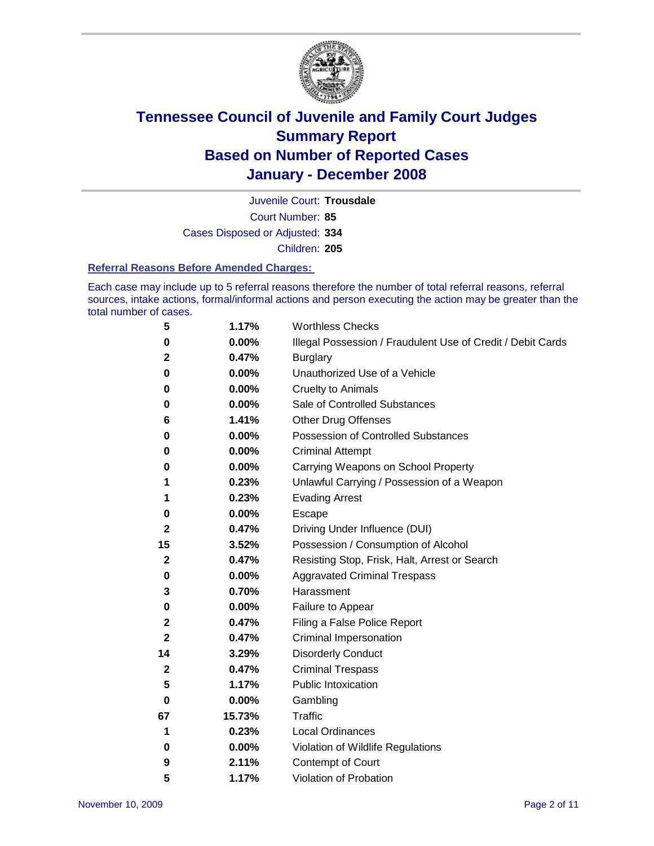

Court Number: **85** Juvenile Court: **Trousdale** Cases Disposed or Adjusted: **334** Children: **205**

#### **Referral Reasons Before Amended Charges:**

Each case may include up to 5 referral reasons therefore the number of total referral reasons, referral sources, intake actions, formal/informal actions and person executing the action may be greater than the total number of cases.

| 5            | 1.17%  | <b>Worthless Checks</b>                                     |
|--------------|--------|-------------------------------------------------------------|
| 0            | 0.00%  | Illegal Possession / Fraudulent Use of Credit / Debit Cards |
| 2            | 0.47%  | <b>Burglary</b>                                             |
| 0            | 0.00%  | Unauthorized Use of a Vehicle                               |
| 0            | 0.00%  | <b>Cruelty to Animals</b>                                   |
| 0            | 0.00%  | Sale of Controlled Substances                               |
| 6            | 1.41%  | <b>Other Drug Offenses</b>                                  |
| 0            | 0.00%  | <b>Possession of Controlled Substances</b>                  |
| 0            | 0.00%  | <b>Criminal Attempt</b>                                     |
| 0            | 0.00%  | Carrying Weapons on School Property                         |
| 1            | 0.23%  | Unlawful Carrying / Possession of a Weapon                  |
| 1            | 0.23%  | <b>Evading Arrest</b>                                       |
| 0            | 0.00%  | Escape                                                      |
| 2            | 0.47%  | Driving Under Influence (DUI)                               |
| 15           | 3.52%  | Possession / Consumption of Alcohol                         |
| $\mathbf{2}$ | 0.47%  | Resisting Stop, Frisk, Halt, Arrest or Search               |
| 0            | 0.00%  | <b>Aggravated Criminal Trespass</b>                         |
| 3            | 0.70%  | Harassment                                                  |
| 0            | 0.00%  | Failure to Appear                                           |
| 2            | 0.47%  | Filing a False Police Report                                |
| 2            | 0.47%  | Criminal Impersonation                                      |
| 14           | 3.29%  | <b>Disorderly Conduct</b>                                   |
| $\mathbf{2}$ | 0.47%  | <b>Criminal Trespass</b>                                    |
| 5            | 1.17%  | <b>Public Intoxication</b>                                  |
| 0            | 0.00%  | Gambling                                                    |
| 67           | 15.73% | Traffic                                                     |
| 1            | 0.23%  | <b>Local Ordinances</b>                                     |
| 0            | 0.00%  | Violation of Wildlife Regulations                           |
| 9            | 2.11%  | <b>Contempt of Court</b>                                    |
| 5            | 1.17%  | Violation of Probation                                      |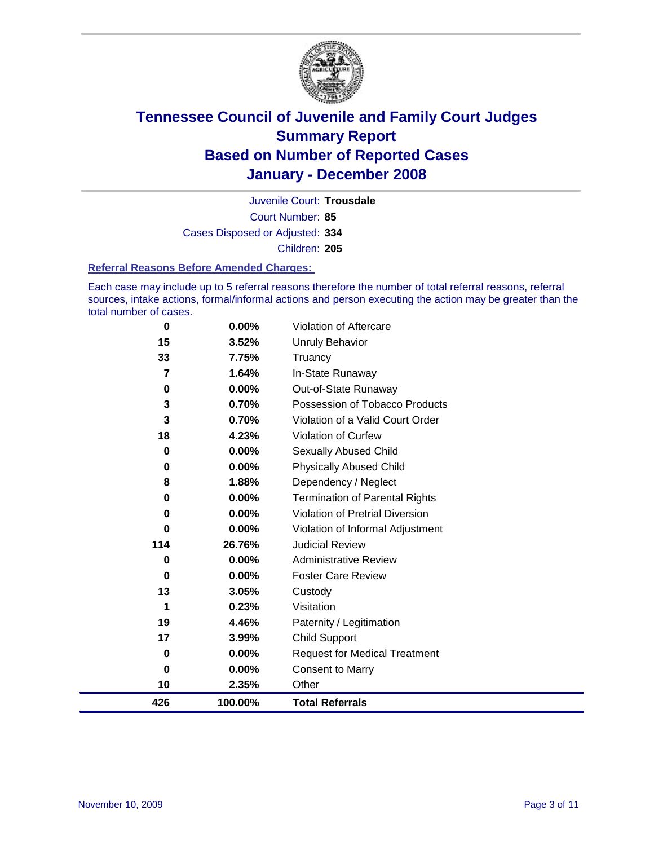

Court Number: **85** Juvenile Court: **Trousdale** Cases Disposed or Adjusted: **334** Children: **205**

#### **Referral Reasons Before Amended Charges:**

Each case may include up to 5 referral reasons therefore the number of total referral reasons, referral sources, intake actions, formal/informal actions and person executing the action may be greater than the total number of cases.

| 426 | 100.00% | <b>Total Referrals</b>                |
|-----|---------|---------------------------------------|
| 10  | 2.35%   | Other                                 |
| 0   | 0.00%   | <b>Consent to Marry</b>               |
| 0   | 0.00%   | <b>Request for Medical Treatment</b>  |
| 17  | 3.99%   | Child Support                         |
| 19  | 4.46%   | Paternity / Legitimation              |
| 1   | 0.23%   | Visitation                            |
| 13  | 3.05%   | Custody                               |
| 0   | 0.00%   | <b>Foster Care Review</b>             |
| 0   | 0.00%   | <b>Administrative Review</b>          |
| 114 | 26.76%  | <b>Judicial Review</b>                |
| 0   | 0.00%   | Violation of Informal Adjustment      |
| 0   | 0.00%   | Violation of Pretrial Diversion       |
| 0   | 0.00%   | <b>Termination of Parental Rights</b> |
| 8   | 1.88%   | Dependency / Neglect                  |
| 0   | 0.00%   | <b>Physically Abused Child</b>        |
| 0   | 0.00%   | <b>Sexually Abused Child</b>          |
| 18  | 4.23%   | <b>Violation of Curfew</b>            |
| 3   | 0.70%   | Violation of a Valid Court Order      |
| 3   | 0.70%   | Possession of Tobacco Products        |
| 0   | 0.00%   | Out-of-State Runaway                  |
| 7   | 1.64%   | In-State Runaway                      |
| 33  | 7.75%   | Truancy                               |
| 15  | 3.52%   | Unruly Behavior                       |
| 0   | 0.00%   | Violation of Aftercare                |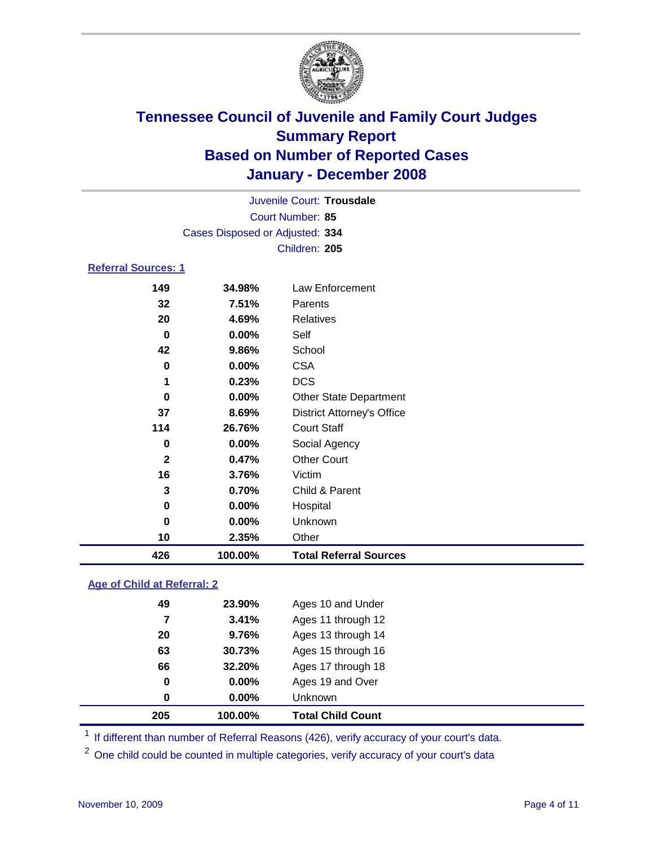

| Juvenile Court: Trousdale       |
|---------------------------------|
| Court Number: 85                |
| Cases Disposed or Adjusted: 334 |
| Children: 205                   |

#### **Referral Sources: 1**

| 426          | 100.00% | <b>Total Referral Sources</b>     |
|--------------|---------|-----------------------------------|
| 10           | 2.35%   | Other                             |
| 0            | 0.00%   | Unknown                           |
| 0            | 0.00%   | Hospital                          |
| 3            | 0.70%   | Child & Parent                    |
| 16           | 3.76%   | Victim                            |
| $\mathbf{2}$ | 0.47%   | <b>Other Court</b>                |
| 0            | 0.00%   | Social Agency                     |
| 114          | 26.76%  | <b>Court Staff</b>                |
| 37           | 8.69%   | <b>District Attorney's Office</b> |
| $\bf{0}$     | 0.00%   | <b>Other State Department</b>     |
| 1            | 0.23%   | <b>DCS</b>                        |
| 0            | 0.00%   | <b>CSA</b>                        |
| 42           | 9.86%   | School                            |
| 0            | 0.00%   | Self                              |
| 20           | 4.69%   | Relatives                         |
| 32           | 7.51%   | Parents                           |
| 149          | 34.98%  | Law Enforcement                   |

#### **Age of Child at Referral: 2**

| 205 | 100.00%  | <b>Total Child Count</b> |
|-----|----------|--------------------------|
| 0   | $0.00\%$ | <b>Unknown</b>           |
| 0   | 0.00%    | Ages 19 and Over         |
| 66  | 32.20%   | Ages 17 through 18       |
| 63  | 30.73%   | Ages 15 through 16       |
| 20  | 9.76%    | Ages 13 through 14       |
| 7   | 3.41%    | Ages 11 through 12       |
| 49  | 23.90%   | Ages 10 and Under        |
|     |          |                          |

<sup>1</sup> If different than number of Referral Reasons (426), verify accuracy of your court's data.

<sup>2</sup> One child could be counted in multiple categories, verify accuracy of your court's data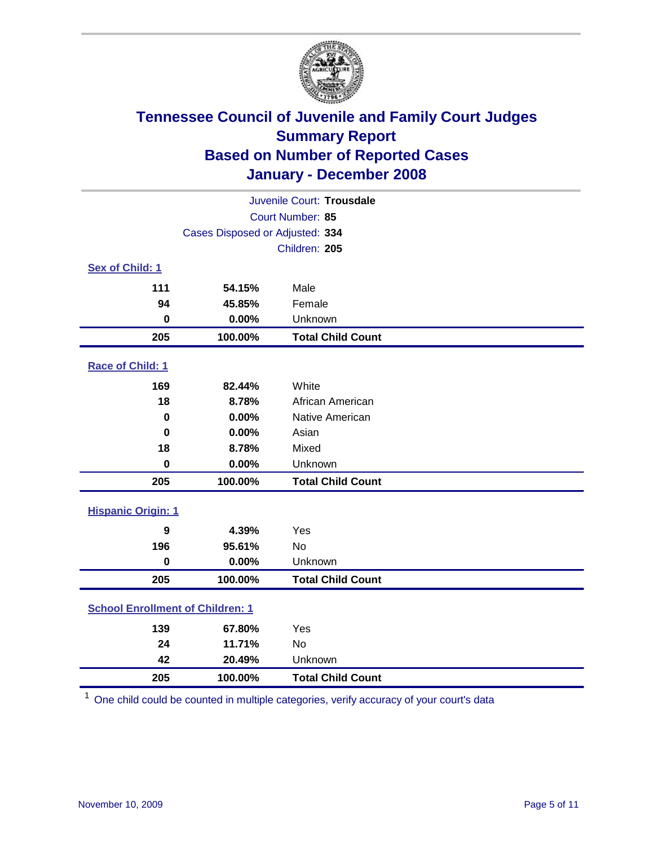

|                                         |                                 | Juvenile Court: Trousdale |  |  |  |  |
|-----------------------------------------|---------------------------------|---------------------------|--|--|--|--|
|                                         | Court Number: 85                |                           |  |  |  |  |
|                                         | Cases Disposed or Adjusted: 334 |                           |  |  |  |  |
|                                         |                                 | Children: 205             |  |  |  |  |
| Sex of Child: 1                         |                                 |                           |  |  |  |  |
| 111                                     | 54.15%                          | Male                      |  |  |  |  |
| 94                                      | 45.85%                          | Female                    |  |  |  |  |
| 0                                       | 0.00%                           | Unknown                   |  |  |  |  |
| 205                                     | 100.00%                         | <b>Total Child Count</b>  |  |  |  |  |
| Race of Child: 1                        |                                 |                           |  |  |  |  |
| 169                                     | 82.44%                          | White                     |  |  |  |  |
| 18                                      | 8.78%                           | African American          |  |  |  |  |
| $\bf{0}$                                | 0.00%                           | Native American           |  |  |  |  |
| $\bf{0}$                                | 0.00%                           | Asian                     |  |  |  |  |
| 18                                      | 8.78%                           | Mixed                     |  |  |  |  |
| $\mathbf 0$                             | 0.00%                           | Unknown                   |  |  |  |  |
| 205                                     | 100.00%                         | <b>Total Child Count</b>  |  |  |  |  |
| <b>Hispanic Origin: 1</b>               |                                 |                           |  |  |  |  |
| 9                                       | 4.39%                           | Yes                       |  |  |  |  |
| 196                                     | 95.61%                          | <b>No</b>                 |  |  |  |  |
| $\mathbf 0$                             | 0.00%                           | Unknown                   |  |  |  |  |
| 205                                     | 100.00%                         | <b>Total Child Count</b>  |  |  |  |  |
| <b>School Enrollment of Children: 1</b> |                                 |                           |  |  |  |  |
| 139                                     | 67.80%                          | Yes                       |  |  |  |  |
| 24                                      | 11.71%                          | No                        |  |  |  |  |
| 42                                      | 20.49%                          | Unknown                   |  |  |  |  |
| 205                                     | 100.00%                         | <b>Total Child Count</b>  |  |  |  |  |

One child could be counted in multiple categories, verify accuracy of your court's data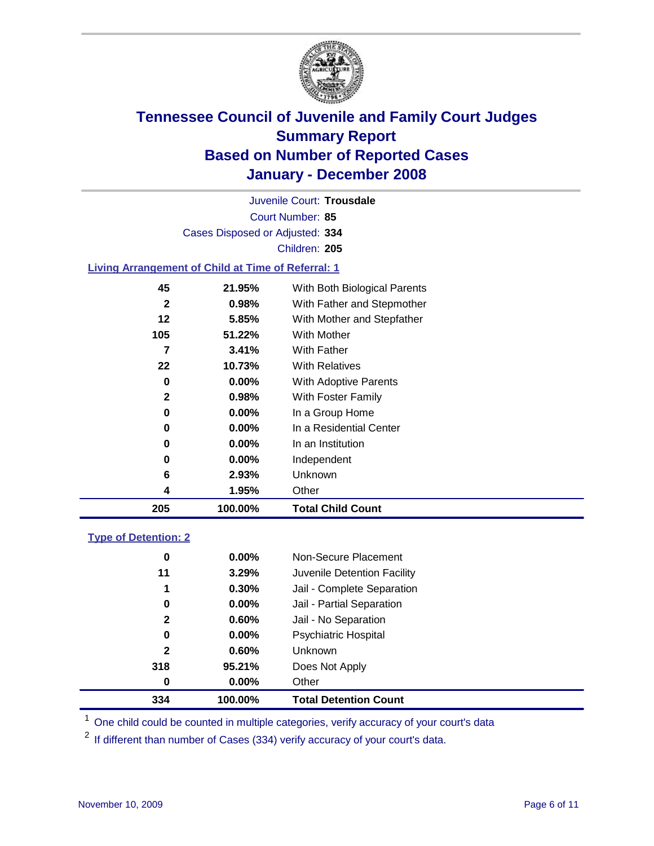

Court Number: **85** Juvenile Court: **Trousdale** Cases Disposed or Adjusted: **334** Children: **205**

#### **Living Arrangement of Child at Time of Referral: 1**

| 205 | 100.00%  | <b>Total Child Count</b>     |
|-----|----------|------------------------------|
| 4   | 1.95%    | Other                        |
| 6   | 2.93%    | Unknown                      |
| 0   | $0.00\%$ | Independent                  |
| 0   | 0.00%    | In an Institution            |
| 0   | $0.00\%$ | In a Residential Center      |
| 0   | 0.00%    | In a Group Home              |
| 2   | 0.98%    | With Foster Family           |
| 0   | 0.00%    | With Adoptive Parents        |
| 22  | 10.73%   | <b>With Relatives</b>        |
| 7   | 3.41%    | <b>With Father</b>           |
| 105 | 51.22%   | With Mother                  |
| 12  | 5.85%    | With Mother and Stepfather   |
| 2   | 0.98%    | With Father and Stepmother   |
| 45  | 21.95%   | With Both Biological Parents |
|     |          |                              |

#### **Type of Detention: 2**

| 334          | 100.00%  | <b>Total Detention Count</b> |  |
|--------------|----------|------------------------------|--|
| 0            | 0.00%    | Other                        |  |
| 318          | 95.21%   | Does Not Apply               |  |
| $\mathbf{2}$ | $0.60\%$ | <b>Unknown</b>               |  |
| 0            | 0.00%    | <b>Psychiatric Hospital</b>  |  |
| $\mathbf{2}$ | 0.60%    | Jail - No Separation         |  |
| 0            | 0.00%    | Jail - Partial Separation    |  |
| 1            | 0.30%    | Jail - Complete Separation   |  |
| 11           | 3.29%    | Juvenile Detention Facility  |  |
| 0            | 0.00%    | Non-Secure Placement         |  |
|              |          |                              |  |

<sup>1</sup> One child could be counted in multiple categories, verify accuracy of your court's data

<sup>2</sup> If different than number of Cases (334) verify accuracy of your court's data.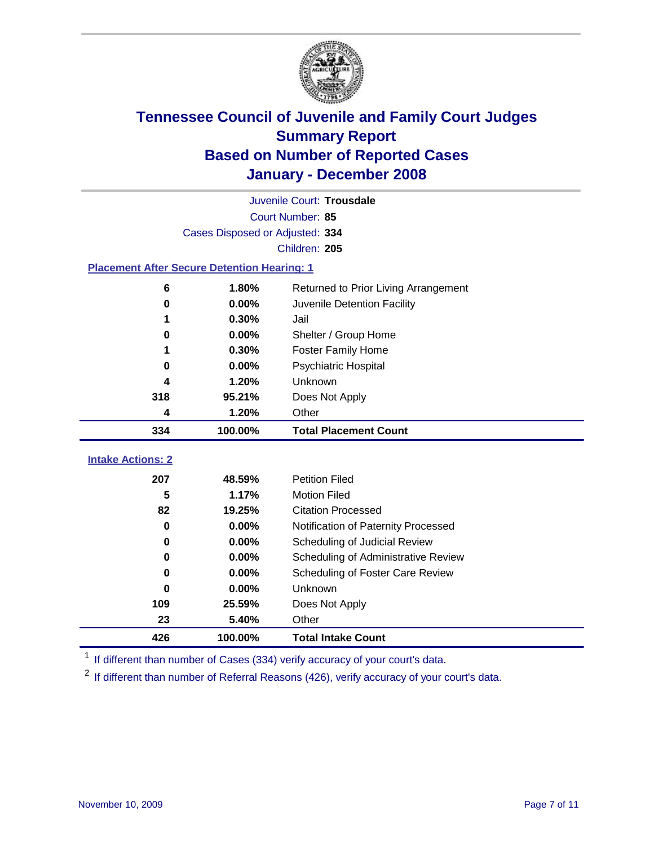

|                                                    |                  | Juvenile Court: Trousdale            |  |  |  |  |
|----------------------------------------------------|------------------|--------------------------------------|--|--|--|--|
|                                                    | Court Number: 85 |                                      |  |  |  |  |
| Cases Disposed or Adjusted: 334                    |                  |                                      |  |  |  |  |
|                                                    |                  | Children: 205                        |  |  |  |  |
| <b>Placement After Secure Detention Hearing: 1</b> |                  |                                      |  |  |  |  |
| 6                                                  | 1.80%            | Returned to Prior Living Arrangement |  |  |  |  |
| $\bf{0}$                                           | 0.00%            | Juvenile Detention Facility          |  |  |  |  |
|                                                    | 0.30%            | Jail                                 |  |  |  |  |
| $\bf{0}$                                           | 0.00%            | Shelter / Group Home                 |  |  |  |  |
| 1                                                  | 0.30%            | <b>Foster Family Home</b>            |  |  |  |  |
| 0                                                  | 0.00%            | Psychiatric Hospital                 |  |  |  |  |
| 4                                                  | 1.20%            | <b>Unknown</b>                       |  |  |  |  |
| 318                                                | 95.21%           | Does Not Apply                       |  |  |  |  |
| 4                                                  | 1.20%            | Other                                |  |  |  |  |
| 334                                                | 100.00%          | <b>Total Placement Count</b>         |  |  |  |  |
| <b>Intake Actions: 2</b>                           |                  |                                      |  |  |  |  |
|                                                    |                  |                                      |  |  |  |  |
| 207                                                | 48.59%           | <b>Petition Filed</b>                |  |  |  |  |
| 5                                                  | 1.17%            | <b>Motion Filed</b>                  |  |  |  |  |
| 82                                                 | 19.25%           | <b>Citation Processed</b>            |  |  |  |  |
| $\bf{0}$                                           | 0.00%            | Notification of Paternity Processed  |  |  |  |  |
| $\bf{0}$                                           | 0.00%            | Scheduling of Judicial Review        |  |  |  |  |
| $\bf{0}$                                           | 0.00%            | Scheduling of Administrative Review  |  |  |  |  |
| 0                                                  | 0.00%            | Scheduling of Foster Care Review     |  |  |  |  |
| $\bf{0}$                                           | 0.00%            | Unknown                              |  |  |  |  |
| 109                                                | 25.59%           | Does Not Apply                       |  |  |  |  |
| 23                                                 | 5.40%            | Other                                |  |  |  |  |
| 426                                                | 100.00%          | <b>Total Intake Count</b>            |  |  |  |  |

<sup>1</sup> If different than number of Cases (334) verify accuracy of your court's data.

<sup>2</sup> If different than number of Referral Reasons (426), verify accuracy of your court's data.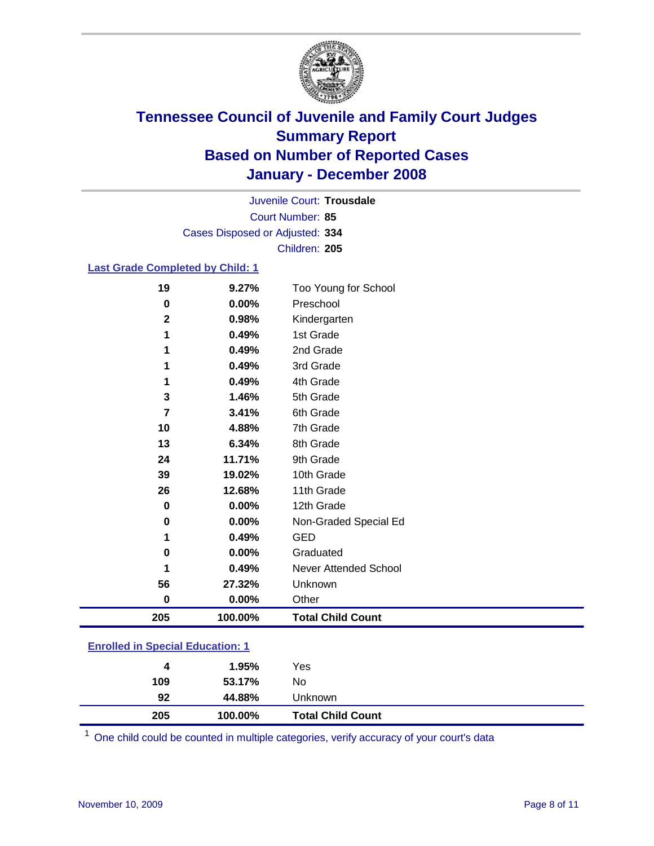

Court Number: **85** Juvenile Court: **Trousdale** Cases Disposed or Adjusted: **334** Children: **205**

#### **Last Grade Completed by Child: 1**

| 56                | 27.32%         | Unknown                   |
|-------------------|----------------|---------------------------|
| 1                 | 0.49%          | Never Attended School     |
| $\bf{0}$          | 0.00%          | Graduated                 |
| 1                 | 0.49%          | <b>GED</b>                |
| 0                 | 0.00%          | Non-Graded Special Ed     |
| $\bf{0}$          | 0.00%          | 12th Grade                |
| 26                | 12.68%         | 11th Grade                |
| 39                | 19.02%         | 10th Grade                |
| 24                | 11.71%         | 9th Grade                 |
| 13                | 6.34%          | 8th Grade                 |
| 10                | 4.88%          | 7th Grade                 |
| 7                 | 3.41%          | 6th Grade                 |
| 3                 | 1.46%          | 5th Grade                 |
| 1                 | 0.49%          | 4th Grade                 |
| 1                 | 0.49%          | 3rd Grade                 |
|                   | 0.49%          | 2nd Grade                 |
| $\mathbf{2}$<br>1 | 0.98%<br>0.49% | Kindergarten<br>1st Grade |
| 0                 | 0.00%          | Preschool                 |
| 19                | 9.27%          | Too Young for School      |
|                   |                |                           |

### **Enrolled in Special Education: 1**

| 109 | 53.17%  | No                       |  |
|-----|---------|--------------------------|--|
| 92  | 44.88%  | Unknown                  |  |
| 205 | 100.00% | <b>Total Child Count</b> |  |

One child could be counted in multiple categories, verify accuracy of your court's data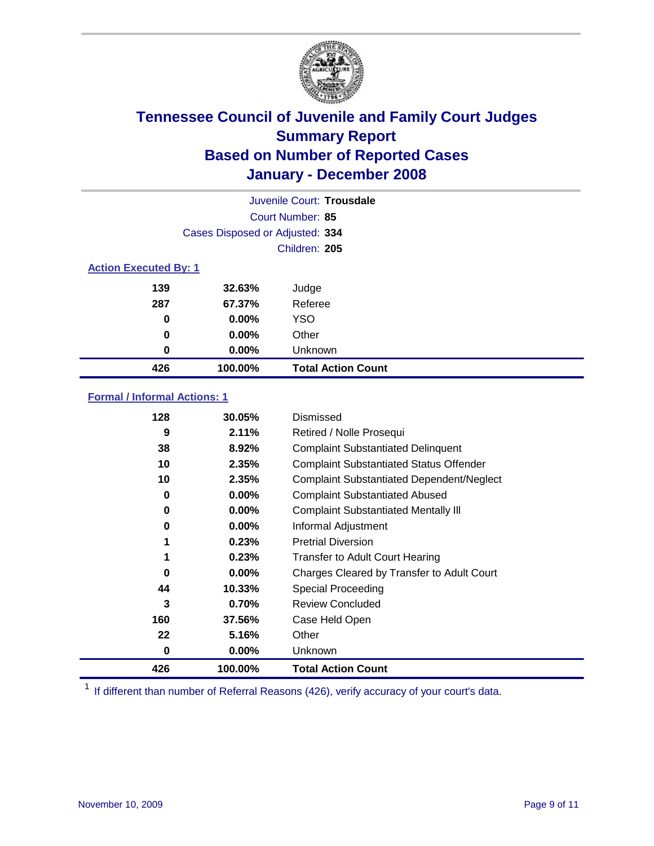

|                              |                                 | Juvenile Court: Trousdale |
|------------------------------|---------------------------------|---------------------------|
|                              |                                 | Court Number: 85          |
|                              | Cases Disposed or Adjusted: 334 |                           |
|                              |                                 | Children: 205             |
| <b>Action Executed By: 1</b> |                                 |                           |
| 139                          | 32.63%                          | Judge                     |
| 287                          | 67.37%                          | Referee                   |
| 0                            | $0.00\%$                        | <b>YSO</b>                |
| 0                            | $0.00\%$                        | Other                     |
| 0                            | $0.00\%$                        | Unknown                   |
| 426                          | 100.00%                         | <b>Total Action Count</b> |

### **Formal / Informal Actions: 1**

| 128 | 30.05%   | Dismissed                                        |
|-----|----------|--------------------------------------------------|
| 9   | 2.11%    | Retired / Nolle Prosequi                         |
| 38  | 8.92%    | <b>Complaint Substantiated Delinquent</b>        |
| 10  | 2.35%    | <b>Complaint Substantiated Status Offender</b>   |
| 10  | 2.35%    | <b>Complaint Substantiated Dependent/Neglect</b> |
| 0   | 0.00%    | <b>Complaint Substantiated Abused</b>            |
| 0   | 0.00%    | <b>Complaint Substantiated Mentally III</b>      |
| 0   | $0.00\%$ | Informal Adjustment                              |
| 1   | 0.23%    | <b>Pretrial Diversion</b>                        |
| 1   | 0.23%    | <b>Transfer to Adult Court Hearing</b>           |
| 0   | $0.00\%$ | Charges Cleared by Transfer to Adult Court       |
| 44  | 10.33%   | Special Proceeding                               |
| 3   | 0.70%    | <b>Review Concluded</b>                          |
| 160 | 37.56%   | Case Held Open                                   |
| 22  | 5.16%    | Other                                            |
| 0   | $0.00\%$ | Unknown                                          |
| 426 | 100.00%  | <b>Total Action Count</b>                        |

<sup>1</sup> If different than number of Referral Reasons (426), verify accuracy of your court's data.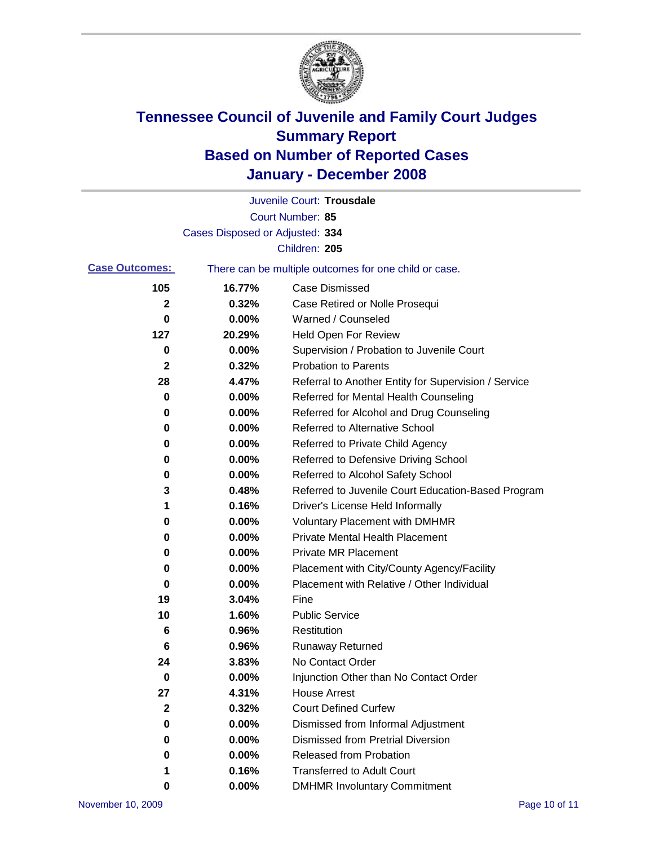

|                       |                                 | Juvenile Court: Trousdale                             |
|-----------------------|---------------------------------|-------------------------------------------------------|
|                       |                                 | Court Number: 85                                      |
|                       | Cases Disposed or Adjusted: 334 |                                                       |
|                       |                                 | Children: 205                                         |
| <b>Case Outcomes:</b> |                                 | There can be multiple outcomes for one child or case. |
| 105                   | 16.77%                          | <b>Case Dismissed</b>                                 |
| 2                     | 0.32%                           | Case Retired or Nolle Prosequi                        |
| 0                     | 0.00%                           | Warned / Counseled                                    |
| 127                   | 20.29%                          | <b>Held Open For Review</b>                           |
| 0                     | 0.00%                           | Supervision / Probation to Juvenile Court             |
| $\mathbf 2$           | 0.32%                           | <b>Probation to Parents</b>                           |
| 28                    | 4.47%                           | Referral to Another Entity for Supervision / Service  |
| 0                     | 0.00%                           | Referred for Mental Health Counseling                 |
| 0                     | 0.00%                           | Referred for Alcohol and Drug Counseling              |
| 0                     | 0.00%                           | Referred to Alternative School                        |
| 0                     | 0.00%                           | Referred to Private Child Agency                      |
| 0                     | 0.00%                           | Referred to Defensive Driving School                  |
| 0                     | 0.00%                           | Referred to Alcohol Safety School                     |
| 3                     | 0.48%                           | Referred to Juvenile Court Education-Based Program    |
| 1                     | 0.16%                           | Driver's License Held Informally                      |
| 0                     | 0.00%                           | <b>Voluntary Placement with DMHMR</b>                 |
| 0                     | 0.00%                           | <b>Private Mental Health Placement</b>                |
| 0                     | 0.00%                           | <b>Private MR Placement</b>                           |
| 0                     | 0.00%                           | Placement with City/County Agency/Facility            |
| 0                     | 0.00%                           | Placement with Relative / Other Individual            |
| 19                    | 3.04%                           | Fine                                                  |
| 10                    | 1.60%                           | <b>Public Service</b>                                 |
| 6                     | 0.96%                           | Restitution                                           |
| 6                     | 0.96%                           | <b>Runaway Returned</b>                               |
| 24                    | 3.83%                           | No Contact Order                                      |
| $\bf{0}$              | 0.00%                           | Injunction Other than No Contact Order                |
| 27                    | 4.31%                           | <b>House Arrest</b>                                   |
| 2                     | 0.32%                           | <b>Court Defined Curfew</b>                           |
| 0                     | 0.00%                           | Dismissed from Informal Adjustment                    |
| 0                     | 0.00%                           | <b>Dismissed from Pretrial Diversion</b>              |
| 0                     | 0.00%                           | Released from Probation                               |
| 1                     | 0.16%                           | <b>Transferred to Adult Court</b>                     |
| 0                     | 0.00%                           | <b>DMHMR Involuntary Commitment</b>                   |